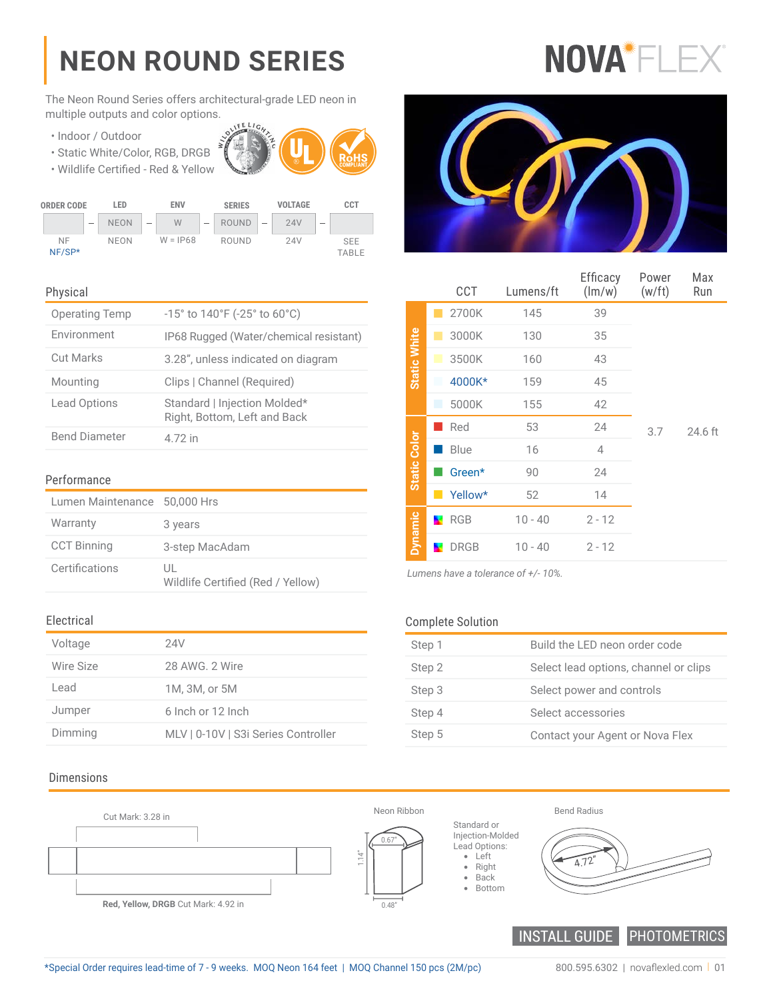# **NEON ROUND SERIES**

NOVA<sup>\*</sup>FLE

The Neon Round Series offers architectural-grade LED neon in multiple outputs and color options. **FELICA** 

- Indoor / Outdoor
- Static White/Color, RGB, DRGB





#### Physical

| <b>Operating Temp</b> | $-15^{\circ}$ to $140^{\circ}$ F ( $-25^{\circ}$ to 60 $^{\circ}$ C) |
|-----------------------|----------------------------------------------------------------------|
| Environment           | IP68 Rugged (Water/chemical resistant)                               |
| <b>Cut Marks</b>      | 3.28", unless indicated on diagram                                   |
| Mounting              | Clips   Channel (Required)                                           |
| <b>Lead Options</b>   | Standard   Injection Molded*<br>Right, Bottom, Left and Back         |
| <b>Bend Diameter</b>  | 4.72 in                                                              |

#### Performance

| Lumen Maintenance 50,000 Hrs |                                         |
|------------------------------|-----------------------------------------|
| Warranty                     | 3 years                                 |
| <b>CCT Binning</b>           | 3-step MacAdam                          |
| Certifications               | UL<br>Wildlife Certified (Red / Yellow) |

#### Electrical

| Voltage   | 24V                                 |
|-----------|-------------------------------------|
| Wire Size | 28 AWG, 2 Wire                      |
| Lead      | 1M, 3M, or 5M                       |
| Jumper    | 6 Inch or 12 Inch                   |
| Dimming   | MLV   0-10V   S3i Series Controller |

#### Dimensions





|                     | CCT               | Lumens/ft | Efficacy<br>(lm/w) | Power<br>(w/ft) | Max<br>Run |
|---------------------|-------------------|-----------|--------------------|-----------------|------------|
|                     | 2700K             | 145       | 39                 |                 |            |
|                     | 3000K             | 130       | 35                 |                 |            |
| Static White        | 3500K<br>ш        | 160       | 43                 |                 |            |
|                     | 4000K*            | 159       | 45                 |                 |            |
|                     | 5000K<br>п        | 155       | 42                 |                 |            |
|                     | Red               | 53        | 24                 | 3.7             | 24.6 ft    |
|                     | Blue              | 16        | 4                  |                 |            |
| <b>Static Color</b> | Green*            | 90        | 24                 |                 |            |
|                     | Yellow*           | 52        | 14                 |                 |            |
| <b>Dynamic</b>      | RGB               | $10 - 40$ | $2 - 12$           |                 |            |
|                     | <b>DRGB</b><br>×. | $10 - 40$ | $2 - 12$           |                 |            |

*Lumens have a tolerance of +/- 10%.*

#### Complete Solution

| Step 1 | Build the LED neon order code         |
|--------|---------------------------------------|
| Step 2 | Select lead options, channel or clips |
| Step 3 | Select power and controls             |
| Step 4 | Select accessories                    |
| Step 5 | Contact your Agent or Nova Flex       |

INSTALL GUIDE PHOTOMETRICS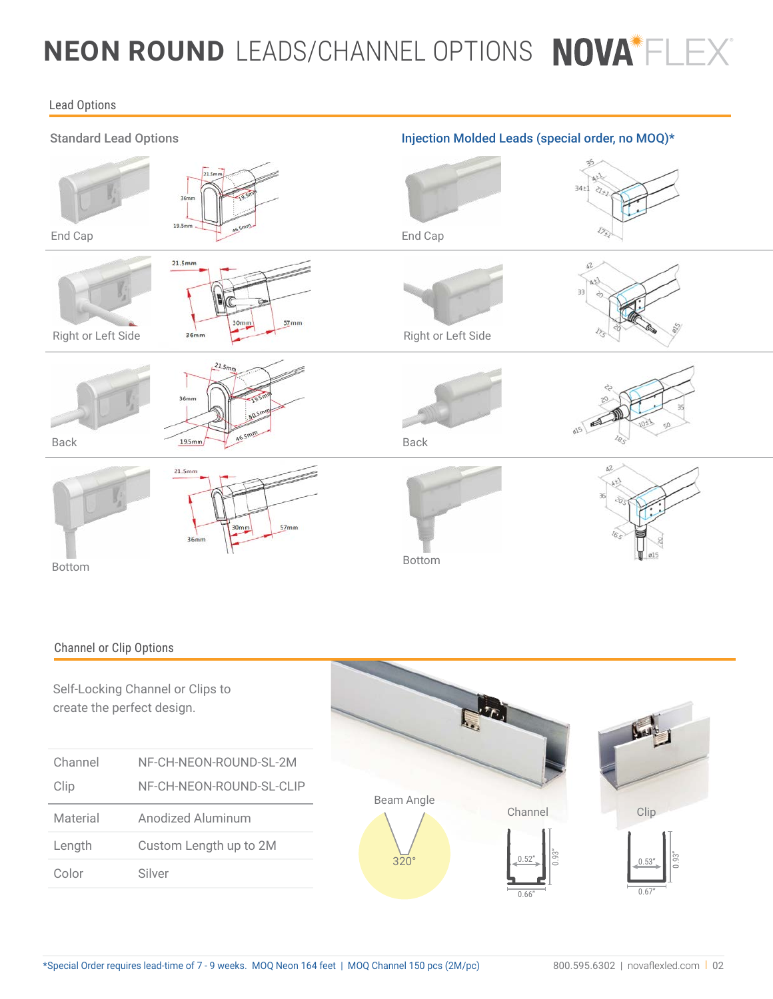## **NEON ROUND**  LEADS/CHANNEL OPTIONS

#### Lead Options



#### Channel or Clip Options

Self-Locking Channel or Clips to create the perfect design.

| Channel  | NF-CH-NEON-ROUND-SL-2M   |
|----------|--------------------------|
| Clip     | NF-CH-NEON-ROUND-SL-CLIP |
| Material | Anodized Aluminum        |
| Length   | Custom Length up to 2M   |
| Color    | Silver                   |

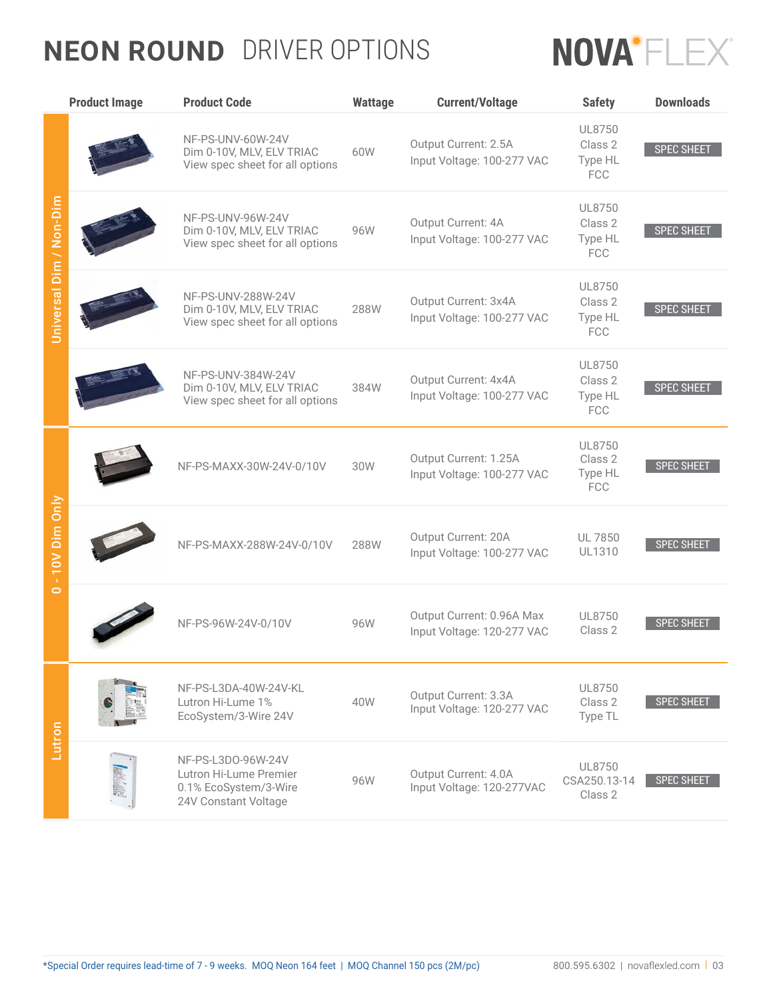### **NEON ROUND**  DRIVER OPTIONS



|                          | <b>Product Image</b> | <b>Product Code</b>                                                                           | <b>Wattage</b> | <b>Current/Voltage</b>                                  | <b>Safety</b>                              | <b>Downloads</b>  |
|--------------------------|----------------------|-----------------------------------------------------------------------------------------------|----------------|---------------------------------------------------------|--------------------------------------------|-------------------|
| Universal Dim / Non-Dim  |                      | NF-PS-UNV-60W-24V<br>Dim 0-10V, MLV, ELV TRIAC<br>View spec sheet for all options             | 60W            | Output Current: 2.5A<br>Input Voltage: 100-277 VAC      | UL8750<br>Class 2<br>Type HL<br><b>FCC</b> | <b>SPEC SHEET</b> |
|                          |                      | NF-PS-UNV-96W-24V<br>Dim 0-10V, MLV, ELV TRIAC<br>View spec sheet for all options             | 96W            | Output Current: 4A<br>Input Voltage: 100-277 VAC        | UL8750<br>Class 2<br>Type HL<br><b>FCC</b> | <b>SPEC SHEET</b> |
|                          |                      | NF-PS-UNV-288W-24V<br>Dim 0-10V, MLV, ELV TRIAC<br>View spec sheet for all options            | 288W           | Output Current: 3x4A<br>Input Voltage: 100-277 VAC      | UL8750<br>Class 2<br>Type HL<br><b>FCC</b> | <b>SPEC SHEET</b> |
|                          |                      | NF-PS-UNV-384W-24V<br>Dim 0-10V, MLV, ELV TRIAC<br>View spec sheet for all options            | 384W           | Output Current: 4x4A<br>Input Voltage: 100-277 VAC      | UL8750<br>Class 2<br>Type HL<br><b>FCC</b> | <b>SPEC SHEET</b> |
|                          |                      | NF-PS-MAXX-30W-24V-0/10V                                                                      | 30W            | Output Current: 1.25A<br>Input Voltage: 100-277 VAC     | UL8750<br>Class 2<br>Type HL<br><b>FCC</b> | <b>SPEC SHEET</b> |
| - 10V Dim Only           |                      | NF-PS-MAXX-288W-24V-0/10V                                                                     | 288W           | Output Current: 20A<br>Input Voltage: 100-277 VAC       | <b>UL 7850</b><br><b>UL1310</b>            | <b>SPEC SHEET</b> |
| $\overline{\phantom{0}}$ |                      | NF-PS-96W-24V-0/10V                                                                           | 96W            | Output Current: 0.96A Max<br>Input Voltage: 120-277 VAC | UL8750<br>Class 2                          | <b>SPEC SHEET</b> |
|                          |                      | NF-PS-L3DA-40W-24V-KL<br>Lutron Hi-Lume 1%<br>EcoSystem/3-Wire 24V                            | 40W            | Output Current: 3.3A<br>Input Voltage: 120-277 VAC      | UL8750<br>Class 2<br>Type TL               | <b>SPEC SHEET</b> |
| Lutron                   |                      | NF-PS-L3D0-96W-24V<br>Lutron Hi-Lume Premier<br>0.1% EcoSystem/3-Wire<br>24V Constant Voltage | 96W            | Output Current: 4.0A<br>Input Voltage: 120-277VAC       | UL8750<br>CSA250.13-14<br>Class 2          | SPEC SHEET        |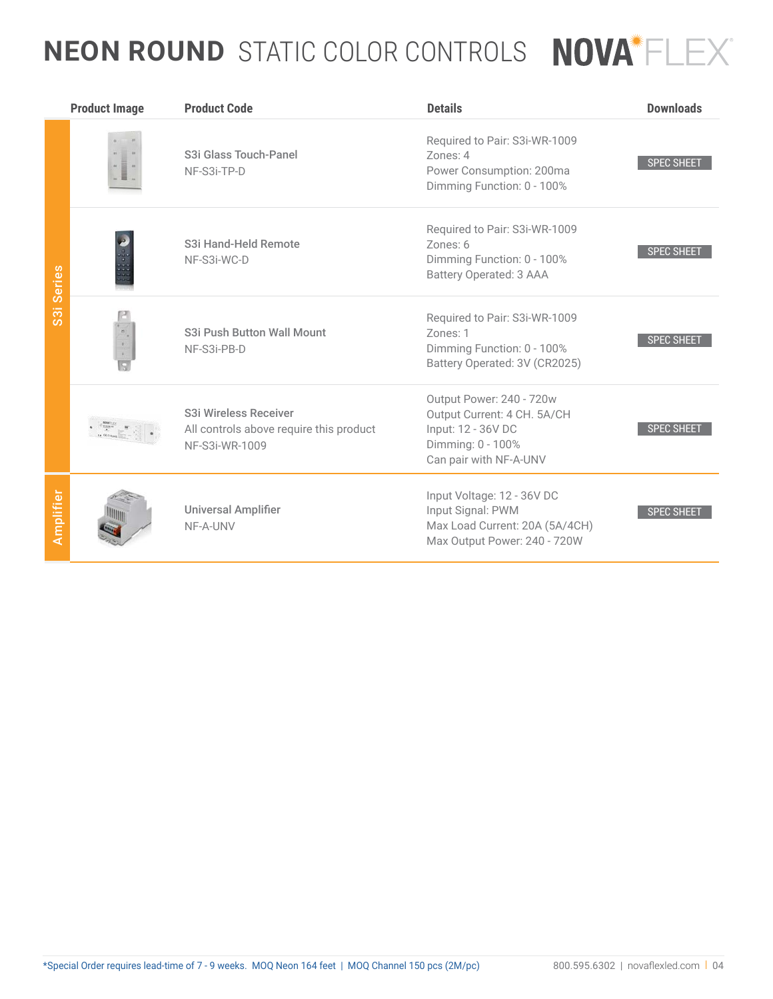## **NEON ROUND**  STATIC COLOR CONTROLS

|                                      | <b>Product Image</b> | <b>Product Code</b>                                                                | <b>Details</b>                                                                                                               | <b>Downloads</b>  |
|--------------------------------------|----------------------|------------------------------------------------------------------------------------|------------------------------------------------------------------------------------------------------------------------------|-------------------|
|                                      |                      | S3i Glass Touch-Panel<br>NF-S3i-TP-D                                               | Required to Pair: S3i-WR-1009<br>Zones: 4<br>Power Consumption: 200ma<br>Dimming Function: 0 - 100%                          | <b>SPEC SHEET</b> |
| Series                               |                      | S3i Hand-Held Remote<br>NF-S3i-WC-D                                                | Required to Pair: S3i-WR-1009<br>Zones: 6<br>Dimming Function: 0 - 100%<br><b>Battery Operated: 3 AAA</b>                    | <b>SPEC SHEET</b> |
| $\overline{\overline{\overline{3}}}$ |                      | S3i Push Button Wall Mount<br>NF-S3i-PB-D                                          | Required to Pair: S3i-WR-1009<br>Zones: 1<br>Dimming Function: 0 - 100%<br>Battery Operated: 3V (CR2025)                     | <b>SPEC SHEET</b> |
|                                      |                      | S3i Wireless Receiver<br>All controls above require this product<br>NF-S3i-WR-1009 | Output Power: 240 - 720w<br>Output Current: 4 CH. 5A/CH<br>Input: 12 - 36V DC<br>Dimming: 0 - 100%<br>Can pair with NF-A-UNV | <b>SPEC SHEET</b> |
| <b>Amplifier</b>                     |                      | <b>Universal Amplifier</b><br>NF-A-UNV                                             | Input Voltage: 12 - 36V DC<br>Input Signal: PWM<br>Max Load Current: 20A (5A/4CH)<br>Max Output Power: 240 - 720W            | <b>SPEC SHEET</b> |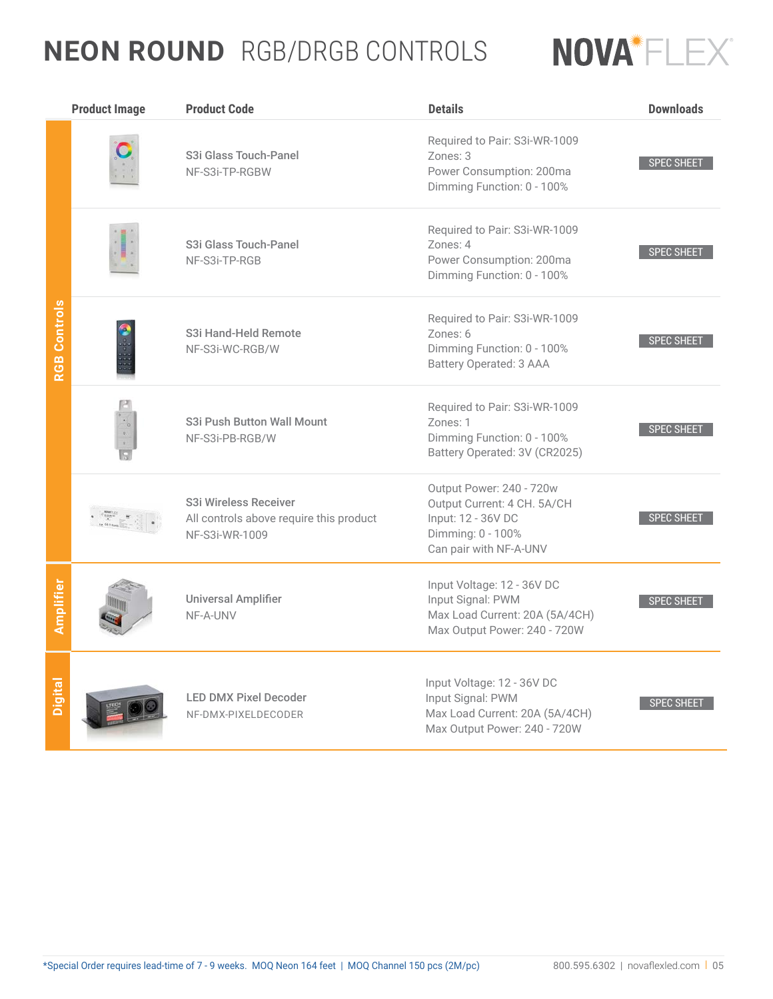### **NEON ROUND**  RGB/DRGB CONTROLS



|                     | <b>Product Image</b> | <b>Product Code</b>                                                                | <b>Details</b>                                                                                                               | <b>Downloads</b>  |
|---------------------|----------------------|------------------------------------------------------------------------------------|------------------------------------------------------------------------------------------------------------------------------|-------------------|
|                     |                      | S3i Glass Touch-Panel<br>NF-S3i-TP-RGBW                                            | Required to Pair: S3i-WR-1009<br>Zones: 3<br>Power Consumption: 200ma<br>Dimming Function: 0 - 100%                          | <b>SPEC SHEET</b> |
|                     |                      | S3i Glass Touch-Panel<br>NF-S3i-TP-RGB                                             | Required to Pair: S3i-WR-1009<br>Zones: 4<br>Power Consumption: 200ma<br>Dimming Function: 0 - 100%                          | <b>SPEC SHEET</b> |
| <b>RGB Controls</b> |                      | S3i Hand-Held Remote<br>NF-S3i-WC-RGB/W                                            | Required to Pair: S3i-WR-1009<br>Zones: 6<br>Dimming Function: 0 - 100%<br>Battery Operated: 3 AAA                           | <b>SPEC SHEET</b> |
|                     |                      | S3i Push Button Wall Mount<br>NF-S3i-PB-RGB/W                                      | Required to Pair: S3i-WR-1009<br>Zones: 1<br>Dimming Function: 0 - 100%<br>Battery Operated: 3V (CR2025)                     | <b>SPEC SHEET</b> |
|                     |                      | S3i Wireless Receiver<br>All controls above require this product<br>NF-S3i-WR-1009 | Output Power: 240 - 720w<br>Output Current: 4 CH. 5A/CH<br>Input: 12 - 36V DC<br>Dimming: 0 - 100%<br>Can pair with NF-A-UNV | <b>SPEC SHEET</b> |
| Amplifier           |                      | <b>Universal Amplifier</b><br>NF-A-UNV                                             | Input Voltage: 12 - 36V DC<br>Input Signal: PWM<br>Max Load Current: 20A (5A/4CH)<br>Max Output Power: 240 - 720W            | <b>SPEC SHEET</b> |
| Digital             |                      | <b>LED DMX Pixel Decoder</b><br>NF-DMX-PIXELDECODER                                | Input Voltage: 12 - 36V DC<br>Input Signal: PWM<br>Max Load Current: 20A (5A/4CH)<br>Max Output Power: 240 - 720W            | <b>SPEC SHEET</b> |